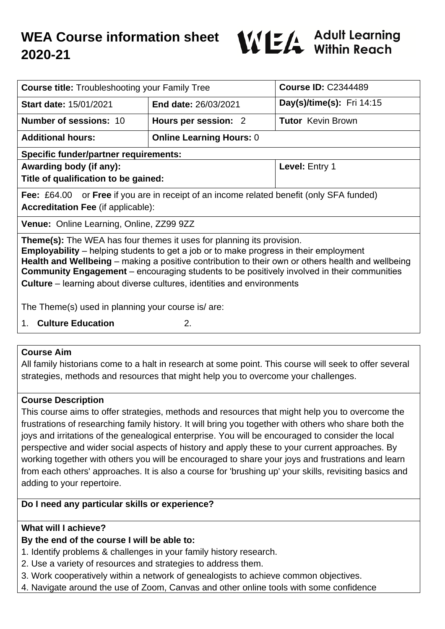

| <b>Course title: Troubleshooting your Family Tree</b>                                                                                                                                                                                                                                                                                                                                                                                                                   |                                 | <b>Course ID: C2344489</b> |
|-------------------------------------------------------------------------------------------------------------------------------------------------------------------------------------------------------------------------------------------------------------------------------------------------------------------------------------------------------------------------------------------------------------------------------------------------------------------------|---------------------------------|----------------------------|
| <b>Start date: 15/01/2021</b>                                                                                                                                                                                                                                                                                                                                                                                                                                           | <b>End date: 26/03/2021</b>     | Day(s)/time(s): Fri 14:15  |
| <b>Number of sessions: 10</b>                                                                                                                                                                                                                                                                                                                                                                                                                                           | Hours per session: 2            | <b>Tutor</b> Kevin Brown   |
| <b>Additional hours:</b>                                                                                                                                                                                                                                                                                                                                                                                                                                                | <b>Online Learning Hours: 0</b> |                            |
| <b>Specific funder/partner requirements:</b>                                                                                                                                                                                                                                                                                                                                                                                                                            |                                 |                            |
| Awarding body (if any):                                                                                                                                                                                                                                                                                                                                                                                                                                                 |                                 | Level: Entry 1             |
| Title of qualification to be gained:                                                                                                                                                                                                                                                                                                                                                                                                                                    |                                 |                            |
| <b>Fee:</b> £64.00 or <b>Free</b> if you are in receipt of an income related benefit (only SFA funded)                                                                                                                                                                                                                                                                                                                                                                  |                                 |                            |
| <b>Accreditation Fee (if applicable):</b>                                                                                                                                                                                                                                                                                                                                                                                                                               |                                 |                            |
| Venue: Online Learning, Online, ZZ99 9ZZ                                                                                                                                                                                                                                                                                                                                                                                                                                |                                 |                            |
| <b>Theme(s):</b> The WEA has four themes it uses for planning its provision.<br><b>Employability</b> – helping students to get a job or to make progress in their employment<br>Health and Wellbeing – making a positive contribution to their own or others health and wellbeing<br><b>Community Engagement</b> – encouraging students to be positively involved in their communities<br><b>Culture</b> – learning about diverse cultures, identities and environments |                                 |                            |
| The Theme(s) used in planning your course is/ are:                                                                                                                                                                                                                                                                                                                                                                                                                      |                                 |                            |
| <b>Culture Education</b><br>$1_{-}$                                                                                                                                                                                                                                                                                                                                                                                                                                     | 2.                              |                            |

#### **Course Aim**

All family historians come to a halt in research at some point. This course will seek to offer several strategies, methods and resources that might help you to overcome your challenges.

#### **Course Description**

This course aims to offer strategies, methods and resources that might help you to overcome the frustrations of researching family history. It will bring you together with others who share both the joys and irritations of the genealogical enterprise. You will be encouraged to consider the local perspective and wider social aspects of history and apply these to your current approaches. By working together with others you will be encouraged to share your joys and frustrations and learn from each others' approaches. It is also a course for 'brushing up' your skills, revisiting basics and adding to your repertoire.

#### **Do I need any particular skills or experience?**

#### **What will I achieve?**

# **By the end of the course I will be able to:**

- 1. Identify problems & challenges in your family history research.
- 2. Use a variety of resources and strategies to address them.
- 3. Work cooperatively within a network of genealogists to achieve common objectives.
- 4. Navigate around the use of Zoom, Canvas and other online tools with some confidence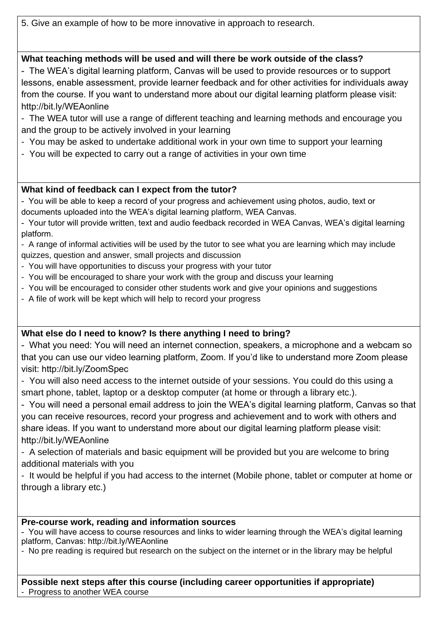5. Give an example of how to be more innovative in approach to research.

## **What teaching methods will be used and will there be work outside of the class?**

- The WEA's digital learning platform, Canvas will be used to provide resources or to support lessons, enable assessment, provide learner feedback and for other activities for individuals away from the course. If you want to understand more about our digital learning platform please visit: http://bit.ly/WEAonline

- The WEA tutor will use a range of different teaching and learning methods and encourage you and the group to be actively involved in your learning
- You may be asked to undertake additional work in your own time to support your learning
- You will be expected to carry out a range of activities in your own time

### **What kind of feedback can I expect from the tutor?**

- You will be able to keep a record of your progress and achievement using photos, audio, text or documents uploaded into the WEA's digital learning platform, WEA Canvas.

- Your tutor will provide written, text and audio feedback recorded in WEA Canvas, WEA's digital learning platform.

- A range of informal activities will be used by the tutor to see what you are learning which may include quizzes, question and answer, small projects and discussion

- You will have opportunities to discuss your progress with your tutor
- You will be encouraged to share your work with the group and discuss your learning
- You will be encouraged to consider other students work and give your opinions and suggestions
- A file of work will be kept which will help to record your progress

# **What else do I need to know? Is there anything I need to bring?**

- What you need: You will need an internet connection, speakers, a microphone and a webcam so that you can use our video learning platform, Zoom. If you'd like to understand more Zoom please visit: http://bit.ly/ZoomSpec

- You will also need access to the internet outside of your sessions. You could do this using a smart phone, tablet, laptop or a desktop computer (at home or through a library etc.).

- You will need a personal email address to join the WEA's digital learning platform, Canvas so that you can receive resources, record your progress and achievement and to work with others and share ideas. If you want to understand more about our digital learning platform please visit: http://bit.ly/WEAonline

- A selection of materials and basic equipment will be provided but you are welcome to bring additional materials with you

- It would be helpful if you had access to the internet (Mobile phone, tablet or computer at home or through a library etc.)

#### **Pre-course work, reading and information sources**

- You will have access to course resources and links to wider learning through the WEA's digital learning platform, Canvas: http://bit.ly/WEAonline

- No pre reading is required but research on the subject on the internet or in the library may be helpful

# **Possible next steps after this course (including career opportunities if appropriate)**

- Progress to another WEA course